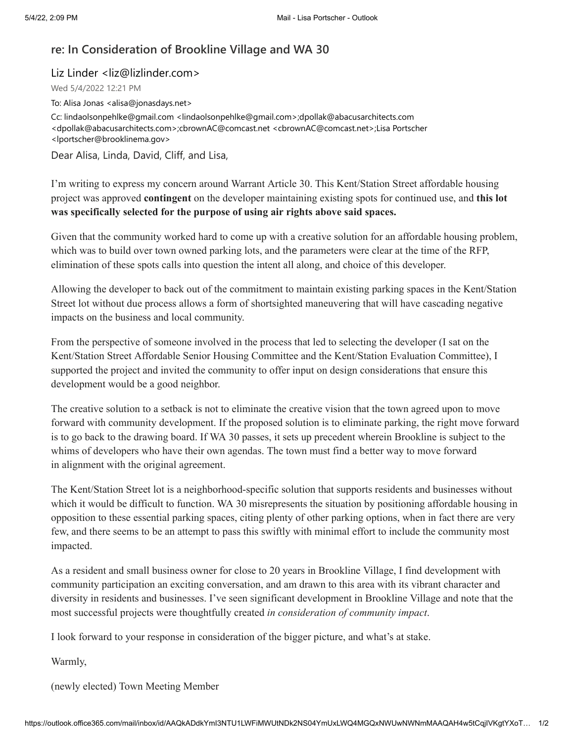## **re: In Consideration of Brookline Village and WA 30**

Liz Linder <liz@lizlinder.com>

Wed 5/4/2022 12:21 PM

To: Alisa Jonas <alisa@jonasdays.net>

Cc: lindaolsonpehlke@gmail.com <lindaolsonpehlke@gmail.com>;dpollak@abacusarchitects.com <dpollak@abacusarchitects.com>;cbrownAC@comcast.net <cbrownAC@comcast.net>;Lisa Portscher <lportscher@brooklinema.gov>

Dear Alisa, Linda, David, Cliff, and Lisa,

I'm writing to express my concern around Warrant Article 30. This Kent/Station Street affordable housing project was approved **contingent** on the developer maintaining existing spots for continued use, and **this lot was specifically selected for the purpose of using air rights above said spaces.**

Given that the community worked hard to come up with a creative solution for an affordable housing problem, which was to build over town owned parking lots, and the parameters were clear at the time of the RFP, elimination of these spots calls into question the intent all along, and choice of this developer.

Allowing the developer to back out of the commitment to maintain existing parking spaces in the Kent/Station Street lot without due process allows a form of shortsighted maneuvering that will have cascading negative impacts on the business and local community.

From the perspective of someone involved in the process that led to selecting the developer (I sat on the Kent/Station Street Affordable Senior Housing Committee and the Kent/Station Evaluation Committee), I supported the project and invited the community to offer input on design considerations that ensure this development would be a good neighbor.

The creative solution to a setback is not to eliminate the creative vision that the town agreed upon to move forward with community development. If the proposed solution is to eliminate parking, the right move forward is to go back to the drawing board. If WA 30 passes, it sets up precedent wherein Brookline is subject to the whims of developers who have their own agendas. The town must find a better way to move forward in alignment with the original agreement.

The Kent/Station Street lot is a neighborhood-specific solution that supports residents and businesses without which it would be difficult to function. WA 30 misrepresents the situation by positioning affordable housing in opposition to these essential parking spaces, citing plenty of other parking options, when in fact there are very few, and there seems to be an attempt to pass this swiftly with minimal effort to include the community most impacted.

As a resident and small business owner for close to 20 years in Brookline Village, I find development with community participation an exciting conversation, and am drawn to this area with its vibrant character and diversity in residents and businesses. I've seen significant development in Brookline Village and note that the most successful projects were thoughtfully created *in consideration of community impact*.

I look forward to your response in consideration of the bigger picture, and what's at stake.

Warmly,

(newly elected) Town Meeting Member